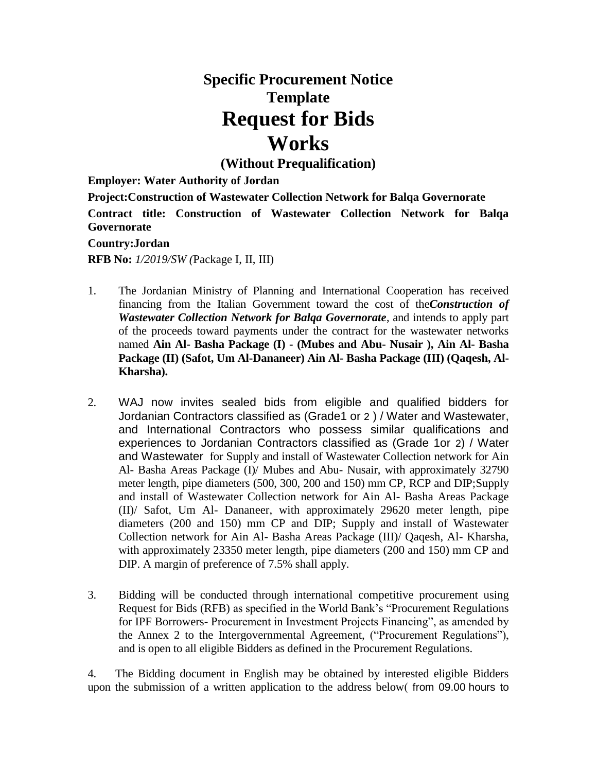## **Specific Procurement Notice Template Request for Bids Works**

**(Without Prequalification)**

**Employer: Water Authority of Jordan**

**Project:Construction of Wastewater Collection Network for Balqa Governorate Contract title: Construction of Wastewater Collection Network for Balqa Governorate**

## **Country:Jordan**

**RFB No:** *1/2019/SW (*Package I, II, III)

- 1. The Jordanian Ministry of Planning and International Cooperation has received financing from the Italian Government toward the cost of the*Construction of Wastewater Collection Network for Balqa Governorate*, and intends to apply part of the proceeds toward payments under the contract for the wastewater networks named **Ain Al- Basha Package (I) - (Mubes and Abu- Nusair ), Ain Al- Basha Package (II) (Safot, Um Al-Dananeer) Ain Al- Basha Package (III) (Qaqesh, Al-Kharsha).**
- 2. WAJ now invites sealed bids from eligible and qualified bidders for Jordanian Contractors classified as (Grade1 or 2 ) / Water and Wastewater, and International Contractors who possess similar qualifications and experiences to Jordanian Contractors classified as (Grade 1or 2) / Water and Wastewater for Supply and install of Wastewater Collection network for Ain Al- Basha Areas Package (I)/ Mubes and Abu- Nusair, with approximately 32790 meter length, pipe diameters (500, 300, 200 and 150) mm CP, RCP and DIP;Supply and install of Wastewater Collection network for Ain Al- Basha Areas Package (II)/ Safot, Um Al- Dananeer, with approximately 29620 meter length, pipe diameters (200 and 150) mm CP and DIP; Supply and install of Wastewater Collection network for Ain Al- Basha Areas Package (III)/ Qaqesh, Al- Kharsha, with approximately 23350 meter length, pipe diameters (200 and 150) mm CP and DIP. A margin of preference of 7.5% shall apply.
- 3. Bidding will be conducted through international competitive procurement using Request for Bids (RFB) as specified in the World Bank's ["Procurement](http://www.worldbank.org/html/opr/procure/guidelin.html) Regulations for IPF Borrowers- Procurement in Investment Projects Financing", as amended by the Annex 2 to the Intergovernmental Agreement, ("Procurement Regulations"), and is open to all eligible Bidders as defined in the Procurement Regulations.

4. The Bidding document in English may be obtained by interested eligible Bidders upon the submission of a written application to the address below( from 09.00 hours to